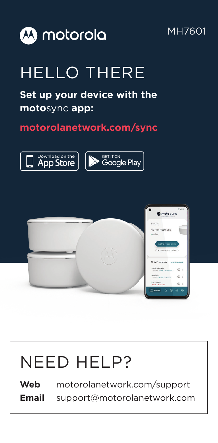

### MH7601

# HELLO THERE

## **Set up your device with the moto**sync **app:**

### **motorolanetwork.com/sync**





# NEED HELP?

**Web** motorolanetwork.com/support **Email** support@motorolanetwork.com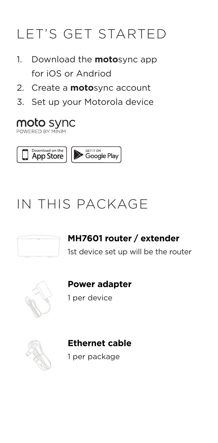## LET'S GET STARTED LET'S GET STARTED LET'S GET STARTED

- 1. Download the **moto**sync app 1. Download the **moto**sync app 1. Download the **moto**sync app for iOS or Andriod for iOS or Andriod for iOS or Andrio or Andrio or Andrio or Andrio or Andrio or Andrio or Andrio or Andrio or Andrio or Andrio or<br>Top ios or Andrio or Andrio or Andrio or Andrio or Andrio or Andrio or Andrio or Andrio or Andrio or Andrio or
- 2. Create a **moto**sync account 2. Create a **moto**sync account 2. Create a **moto**sync account  $\mathfrak{a}$
- 3. Set up your Motorola device 3. Set up your Motorola device 3. Set up your Motorola device

#### moto sync **POWERED BY MINIM**



## IN THIS PACKAGE IN THIS PACKAGE IN THIS PACKAGE



## **MH7601 router / extender MH7601 router / extender MH7601 router / extender**

1st device set up will be the router 1st device set up will be the router 1st device set up will be the router



#### **Power adapter Power adapter**

1 per device



#### **Ethernet cable Ethernet cable**

1 per package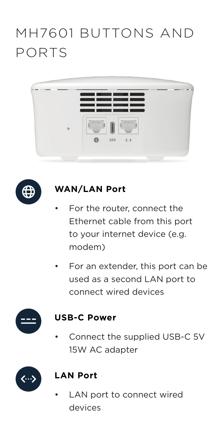## MH7601 BUTTONS AND MH7601 BUTTONS AND PORTS MH7601 BUTTONS AND PORTS PORTS





## **WAN/LAN Port WAN/LAN Port WAN/LAN Port**

- For the router, connect the Ethernet cable from this port to your internet device (e.g. modem) modem)
- $\bullet$  For an extender, this port can be used as a second LAN port to connect wired devices used as a second LAN port to connect wire used as a second LAN port to connect devices



### **USB-C Power**

ective the supplied CCB-C 5V.<br>15W AC adapter 15W AC adapter • Connect the supplied USB-C 5V 15W Accepters



### **LAN Port**

evices<br>• LAN port to connect wired wired wired wired wired wired wired wired wired wired wired wired wired wired wire • LAN port to connect wired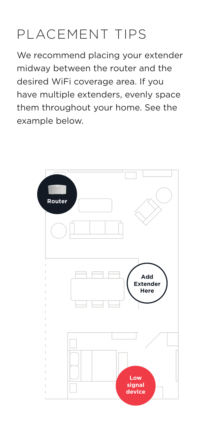# PLACEMENT TIPS

We recommend placing your extender midway between the router and the desired WiFi coverage area. If you desired WiFi coverage area. If you have multiple extenders, evenly space desired WiFi coverage area. If you have multiple extenders, evenly space them throughout your home. See the example below. example below.

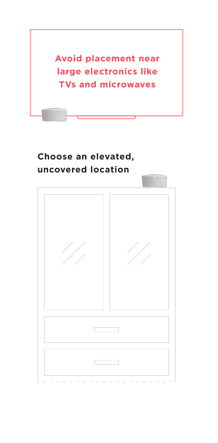

### **Choose an elevated, Choose an elevated, uncovered location Choose an elevated,**

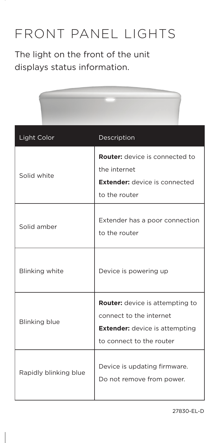## FRONT PANEL LIGHTS FRONT PANEL LIGHTS FRONT PANEL LIGHTS

The light on the front of the unit The light on the front of the unit The light on the front of the unit displays status information. displays status information. displays status information.

| Light Color           | Description                                                                                                                     |
|-----------------------|---------------------------------------------------------------------------------------------------------------------------------|
| Solid white           | Router: device is connected to<br>the internet<br><b>Extender:</b> device is connected<br>to the router                         |
| Solid amber           | Extender has a poor connection<br>to the router                                                                                 |
| Blinking white        | Device is powering up                                                                                                           |
| <b>Blinking blue</b>  | Router: device is attempting to<br>connect to the internet<br><b>Extender:</b> device is attempting<br>to connect to the router |
| Rapidly blinking blue | Device is updating firmware.<br>Do not remove from power.                                                                       |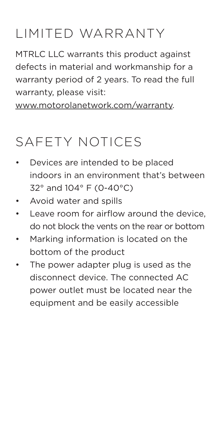#### LIMITED WARRANTY LIMITED WARRANTY LIMITED WARRANTY  $F = \mathbf{R}$

MTRLC LLC warrants this product against MTRLC LLC warrants this product against MTRLC LLC warrants this product against defects in material and workmanship for a warranty period of 2 years. To read the full warranty period of 2 years. To read the full warranty period of 2 years. To read the full warranty, please visit: warranty, please visit: warranty, please visit:

www.motorolanetwork.com/warranty. www.motorolanetwork.com/warranty. www.motorolanetwork.com/warranty

# SAFETY NOTICES SAFETY NOTICES SAFETY NOTICES

- Devices are intended to be placed indoors in an environment that's between indoors in an environment that's between indoors in an environment that's between  $32^{\circ}$  and 104 $^{\circ}$  F (0-40 $^{\circ}$ C)
	- Avoid water and spills Avoid water and spills
- Avoid water and spills<br>• Leave room for airflow around the device, Extender from for airflow around the device,<br>do not block the vents on the rear or bottom
	- Marking information is located on the Marking information is located on the do not block the vents on the rear or bottom bottom of the product bottom of the product  $T_{\rm eff}$  $\sim$  Momation is located on the
	- **•** The power adapter plug is used as the one power adapter plug is used as the power and the power and the power as the power as the power and the power as the power and the power and the power and the power and the power and the power and the power and the power power outlet must be located near the equipment and be easily accessible Rules. Operation is subject to the following  $\frac{1}{1-\epsilon}$  $\frac{1}{\sqrt{2}}$ accept and  $\frac{1}{2}$ interference that may cause undesired equipment and be easily accessible